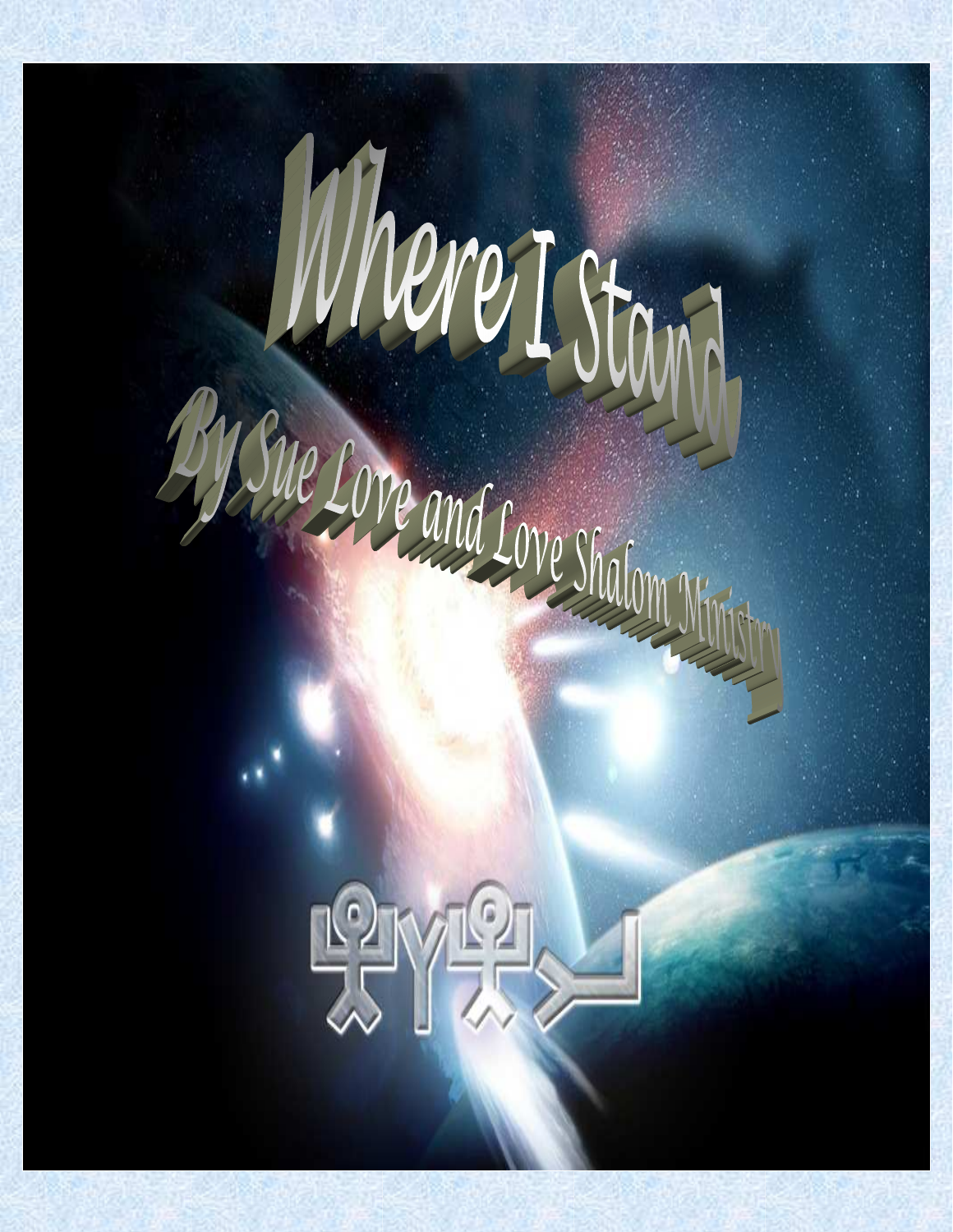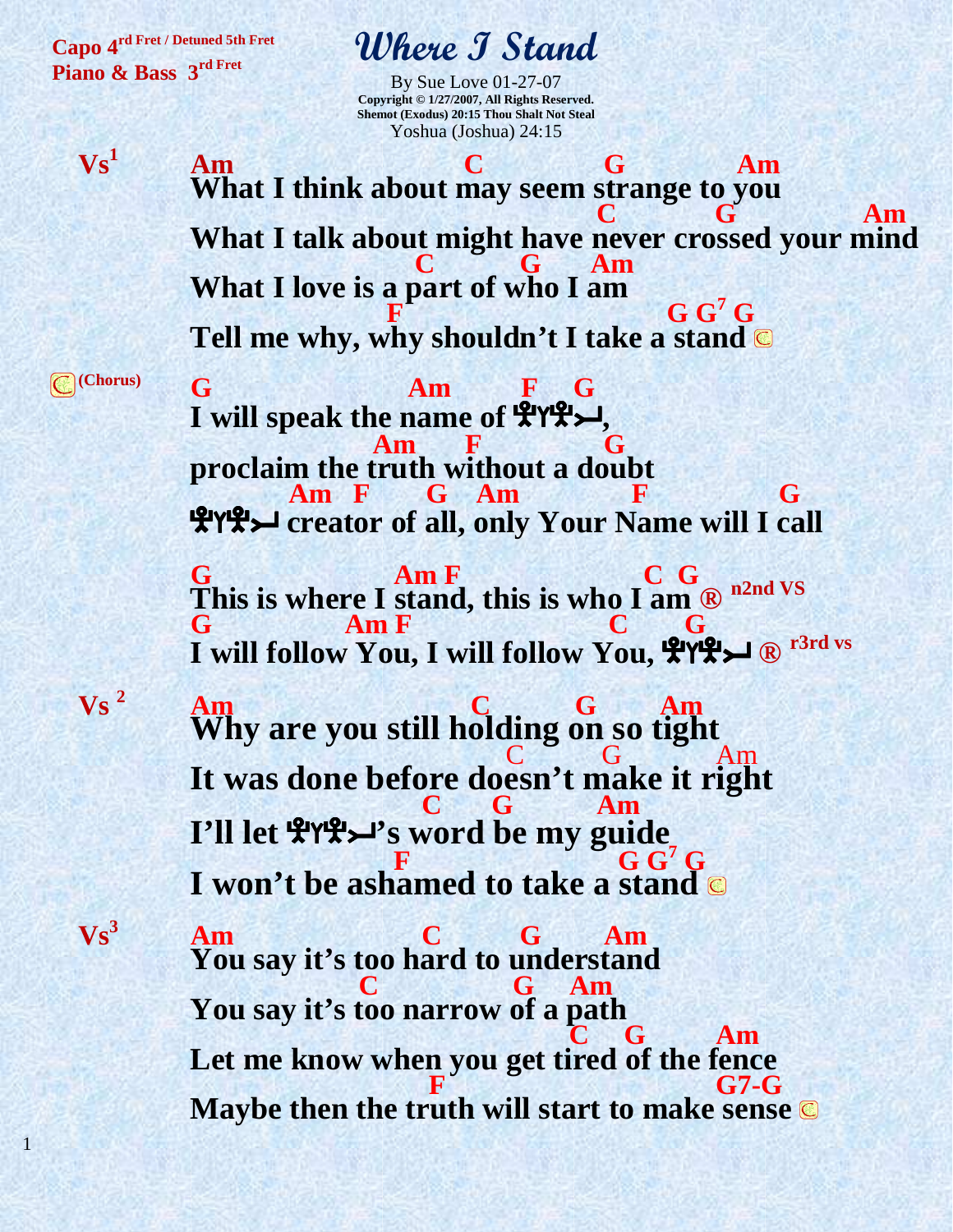**Capo 4rd Fret / Detuned 5th Fret Piano & Bass 3rd Fret**

### **Where I Stand**

By Sue Love 01-27-07 **Copyright © 1/27/2007, All Rights Reserved. Shemot (Exodus) 20:15 Thou Shalt Not Steal**  Yoshua (Joshua) 24:15

 $Vs<sup>1</sup>$  **Am C G Am What I think about may seem strange to you C G Am What I talk about might have never crossed your mind C G** Am **What I love is a part of who I am E G** G<sup>7</sup>  $G G<sup>7</sup>G$ **Tell me why, why shouldn't I take a stand** 

**(Chorus)**

**Vs <sup>2</sup>**

 $Vs<sup>3</sup>$ 

1

 **G Am F G I** will speak the name of  $\mathbf{H}^{\mathsf{H}}\mathbf{H}^{\mathsf{H}}$  **Am F G proclaim the truth without a doubt Am F G Am F G G** EFEI **creator of all, only Your Name will I call G** Am **F C G This is where I stand, this is who I am ® n2nd VS G Am F C G I will follow You, I will follow You,** EFEI **® r3rd vs Am C G Am Why are you still holding on so tight**  C G Am **It was done before doesn't make it right C G Am I'll let** EFEI**'s word be my guide**   $F$  **G G<sup>7</sup><b>G I won't be ashamed to take a stand Am C G Am You say it's too hard to understand C G Am You say it's too narrow of a path C G** Am Let me know when you get tired of the fence<br>F<br>G7-G **F** G7-G **Maybe then the truth will start to make sense**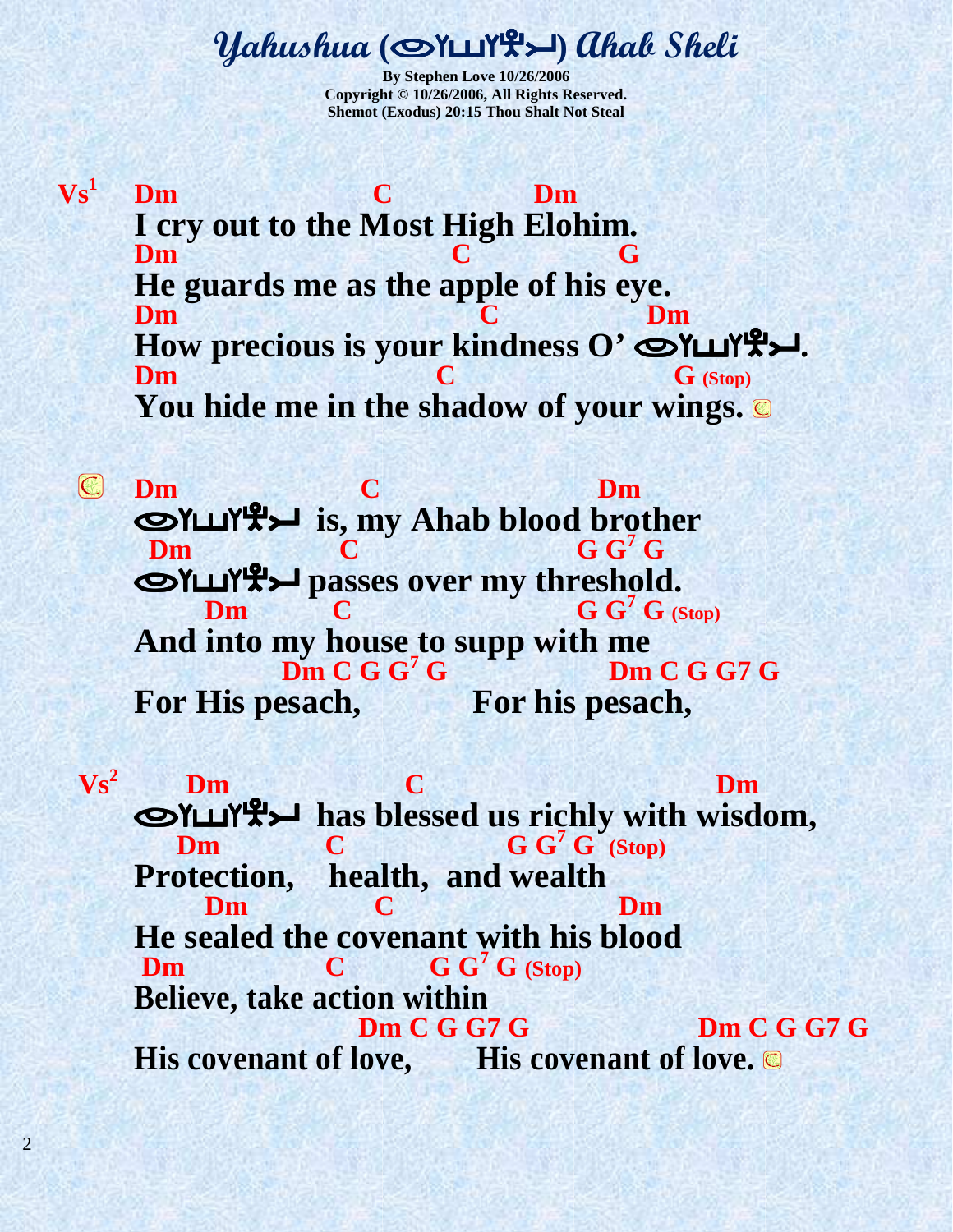#### **Yahushua** (OYUYL>) ahal Sheli

**By Stephen Love 10/26/2006 Copyright © 10/26/2006, All Rights Reserved. Shemot (Exodus) 20:15 Thou Shalt Not Steal** 

 $\mathbf{V}\mathbf{s}^1$ **Dm C** Dm **I cry out to the Most High Elohim. Dm C G He guards me as the apple of his eye. Dm C** Dm How precious is your kindness O'  $\bigcirc$   $\mathsf{YL}'$ **Dm C G** (Stop) **You hide me in the shadow of your wings.** 

**Dm C** Dm ofsfei **is, my Ahab blood brother Dm C G**  $G^7$ **C**<br> **G**<sup> $G'$ </sup>**G**<br> **G**<sup> $G'$ </sup>**G**<br> **G**<sup> $G'$ </sup>**G**<br> **G**<sup> $G'$ </sup>**G Dm C G**  $G^7 G$  (Stop) And into my house to supp with me  **Dm C G G<sup>7</sup> Dm C G G 7 G For His pesach, For his pesach,** 

**Vs<sup>2</sup>Dm C Dm Dm**<br>SYLLYLEXTRED has blessed us richly with wisdom, **Dm C G**  $G^7 G$  (Stop) **Protection, health, and wealth Dm C** Dm **He sealed the covenant with his blood Dm C G G<sup>7</sup> G (Stop) Believe, take action within Dm C G G7 G Dm C G G7 G**  His covenant of love, His covenant of love.  $\blacksquare$ 

2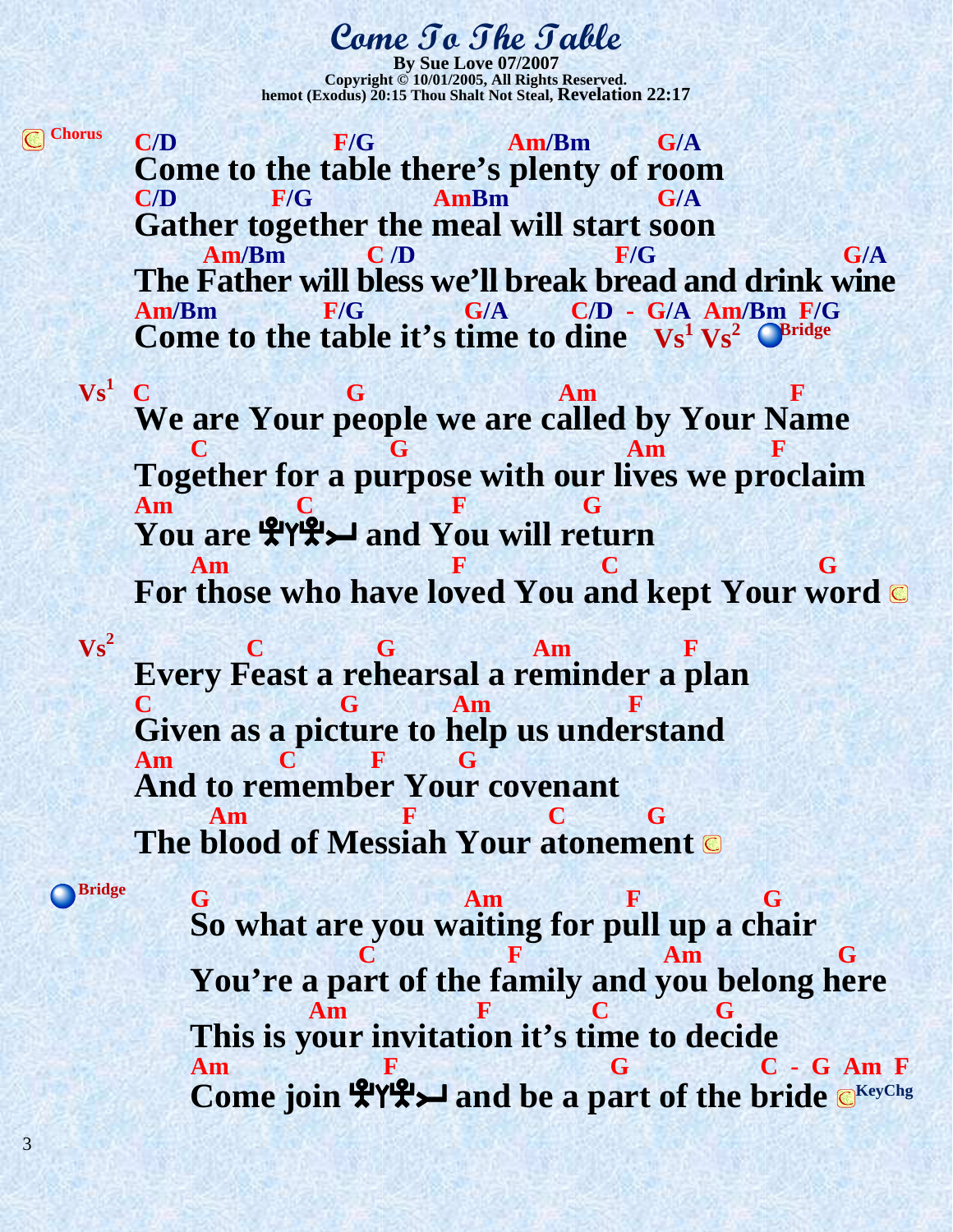#### **Come To The Table**

**By Sue Love 07/2 Copyright © 10/01/2005, All Rights Reserved. hemot (Exodus) 20:15 Thou Shalt Not Steal, Revelation 22:17** 

**Chorus C/D F/G Am/Bm G/A Come to the table there's plenty of room C/D F/G AmBm G/A Gather together the meal will start soon**<br>**Am/Bm**  $\overline{C/D}$  **E/G Am/Bm C /D F/G G/A The Father will bless we'll break bread and drink wine Am/Bm**<br> **G/A** C/D - G/A Am/Bm F/G **Am/Bm F/G G/A C/D - G/A Am/Bm F/G Come to the table it's time to dine**  $Vs^1Vs^2$   $\bullet$  *Bridge* 

 $\mathbf{V}\mathbf{s}^1$  **C C G Am F We are Your people we are called by Your Name C G Am F Together for a purpose with our lives we proclaim am C F G You are** EFEI **and You will return am** F C G G **For those who have loved You and kept Your word** 

**C G** Am **F Every Feast a rehearsal a reminder a plan C G Am F Given as a picture to help us understand Am C F G And to remember Your covenant am** F C G **The blood of Messiah Your atonement** 

3

 $Vs^2$ 

**Bridge**

**a** G **Am F** G **So what are you waiting for pull up a chair C** F Am **G You're a part of the family and you belong here am** F C G **This is your invitation it's time to decide Am F F G G C C G Am F Come join**  $\mathbb{R}^{\mathsf{Y}}\mathbb{R}$  **and be a part of the bride**  $\mathbb{C}^{\mathsf{KeyChg}}$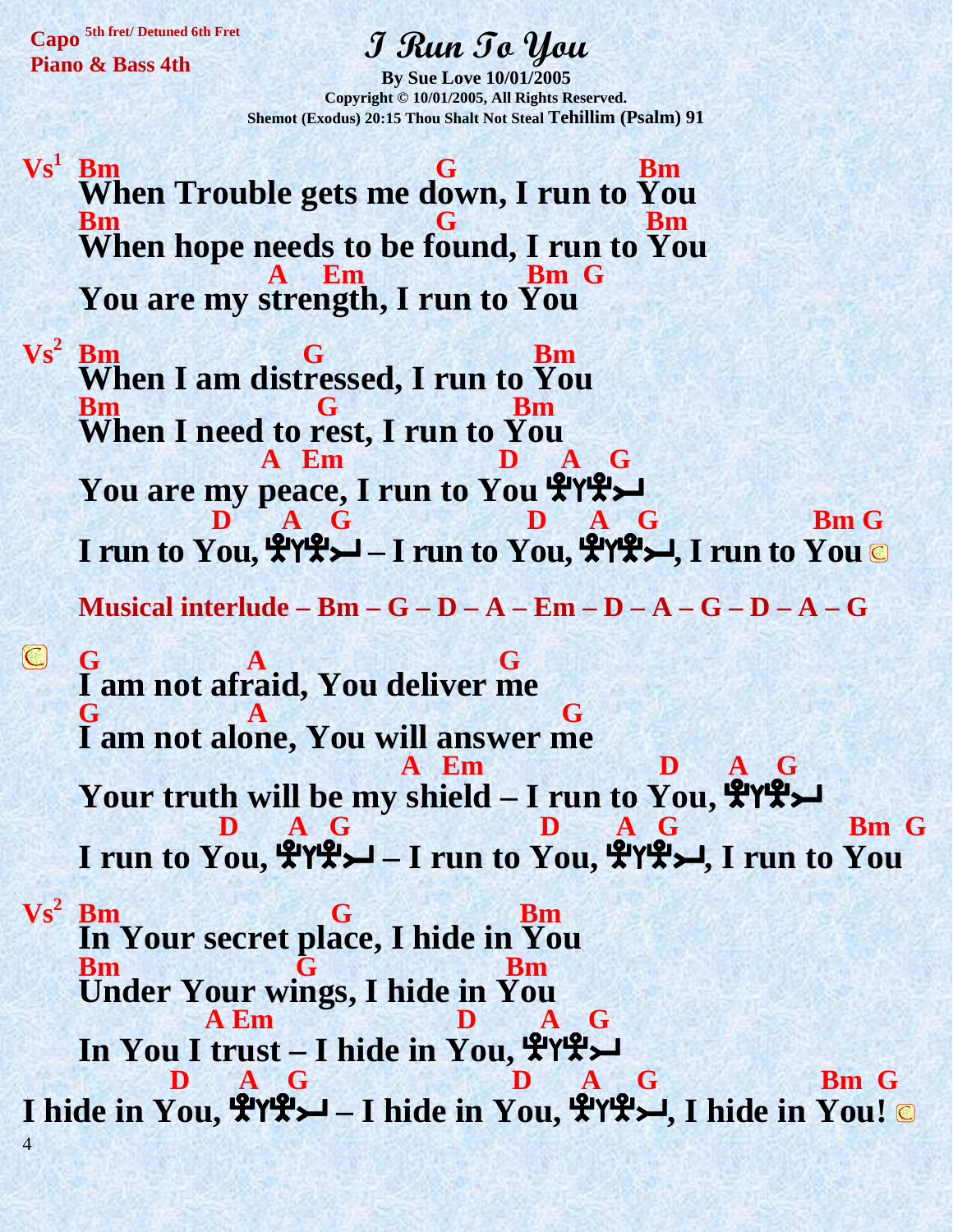**Capo 5th fret/ Detuned 6th Fret Piano & Bass 4th** 

## **I Run To You**

**By Sue Love 10/01/2005 Copyright © 10/01/2005, All Rights Reserved. Shemot (Exodus) 20:15 Thou Shalt Not Steal Tehillim (Psalm) 91** 

 $Vs<sup>1</sup>$ **Bm** G Bm **When Trouble gets me down, I run to You Bm G Bm When hope needs to be found, I run to You A** Em Bm G **You are my strength, I run to You** 

 $\mathbf{V}\mathbf{s}^2$ **Bm G** Bm **When I am distressed, I run to You Bm G Bm When I need to rest, I run to You A Em D A G You are my peace, I run to You ATHLET D** A G **D** A G **Bm** G **I run to You,** EFEI **– I run to You,** EFEI**, I run to You Musical interlude – Bm – G – D – A – Em – D – A – G – D – A – G** 

**G A G G I am not afraid, You deliver me G A** A G **I am not alone, You will answer me A Em D A G A** Em **D A** G<br>**Vour truth will be my shield – I run to You, 4944 D** A G **D** A G **Bm** G **I** run to You,  $\frac{P}{2}$   $\frac{A}{2}$   $\frac{G}{2}$  – I run to You,  $\frac{P}{2}$   $\frac{G}{2}$ , I run to You

4  $Vs^2$  Bm **Bm G Bm In Your secret place, I hide in You Bm G** Bm **Under Your wings, I hide in You A Em D A G**   $\frac{\ln \text{You I trust} - \text{I hide in You}}{\ln \text{A}}$ **D** A G Bm G **I hide in You,** EFEI **– I hide in You,** EFEI**, I hide in You!**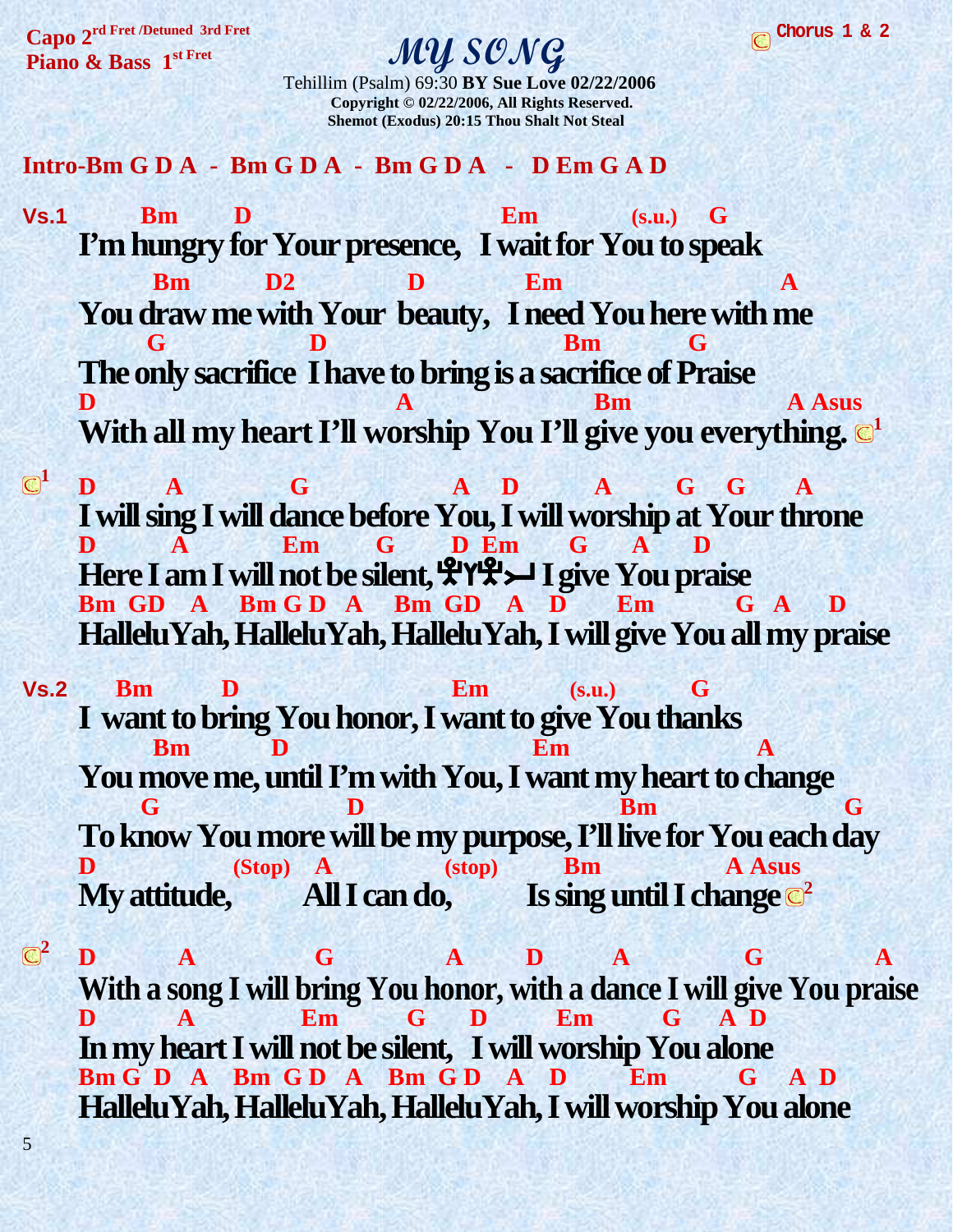**Capo 2rd Fret /Detuned 3rd Fret Piano & Bass 1 st Fret**

5

#### **MY SONG**

 Tehillim (Psalm) 69:30 **BY Sue Love 02/22/2006 Copyright © 02/22/2006, All Rights Reserved. Shemot (Exodus) 20:15 Thou Shalt Not Steal** 

**Intro-Bm G D A - Bm G D A - Bm G D A - D Em G A D** 

- **Vs.1 Bm D Em (s.u.) G I'm hungry for Your presence, I wait for You to speak Bm D2 D Em A You draw me with Your beauty, I need You here with me G D Bm G The only sacrifice I have to bring is a sacrifice of Praise D A Bm A Bm A A Bm** With all my heart I'll worship You I'll give you everything.  $\mathbb{C}^1$
- **<sup>1</sup> D A G A D A G G A I will sing I will dance before You, I will worship at Your throne D A Em G D Em G A D**  Here I am I will not be silent,  $\mathcal{L}(\mathcal{L}(\mathcal{L}) = \mathcal{L})$  I give You praise Bm GD A Bm GD A Bm GD A D Em G A D **HalleluYah, HalleluYah, HalleluYah, I will give You all my praise**
- **Vs.2 Bm D Em (s.u.) G I want to bring You honor, I want to give You thanks Bm D Em A You move me, until I'm with You, I want my heart to change b** Bm Bm G **To know You more will be my purpose, I'll live for You each day D (Stop) A (stop) Bm A Asus My attitude, All I can do, Is sing until I change**  $\mathbb{C}^2$
- $\mathbb{C}^2$  **D A G A D A G A With a song I will bring You honor, with a dance I will give You praise D A Em G D Em G A D In my heart I will not be silent, I will worship You alone Bm G D A Bm G D A Bm G D A D Em G A D HalleluYah, HalleluYah, HalleluYah, I will worship You alone**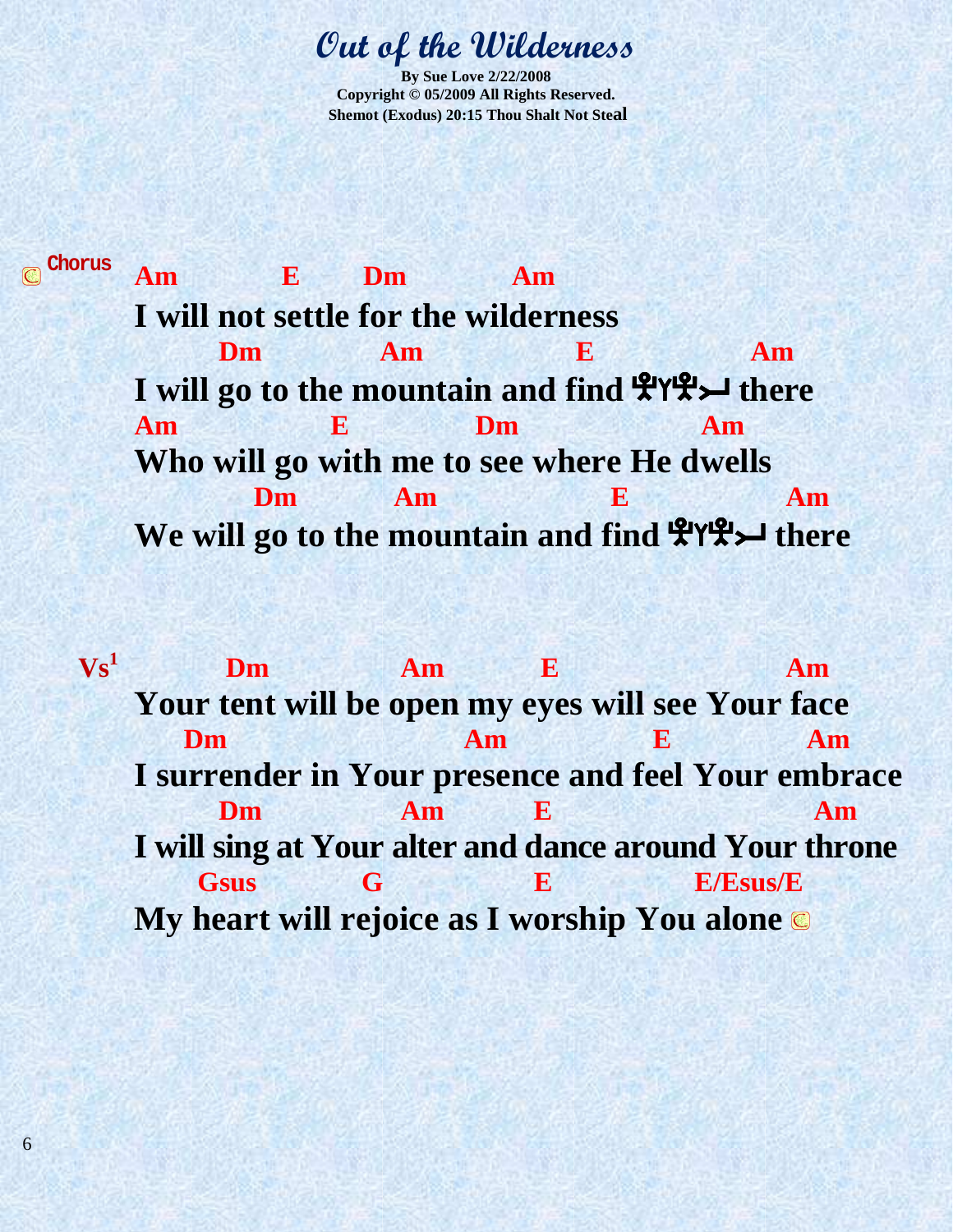#### **Out of the Wilderness**

**By Sue Love 2/22/2008 Copyright © 05/2009 All Rights Reserved. Shemot (Exodus) 20:15 Thou Shalt Not Steal** 

**Chorus Am E Dm Am I will not settle for the wilderness Dm Am E Am** I will go to the mountain and find  $\mathcal{L}Y\mathcal{L}$  there **Am E Dm Am Who will go with me to see where He dwells Dm Am E Am Am** We will go to the mountain and find  $\mathcal{L}(\mathcal{L})$  there

 $Vs<sup>1</sup>$ **Dm** Am **E** Am Am **Your tent will be open my eyes will see Your face Dm Am E** Am **Am I surrender in Your presence and feel Your embrace Dm Am E Am Am I will sing at Your alter and dance around Your throne Gsus G E E/Esus/E My heart will rejoice as I worship You alone**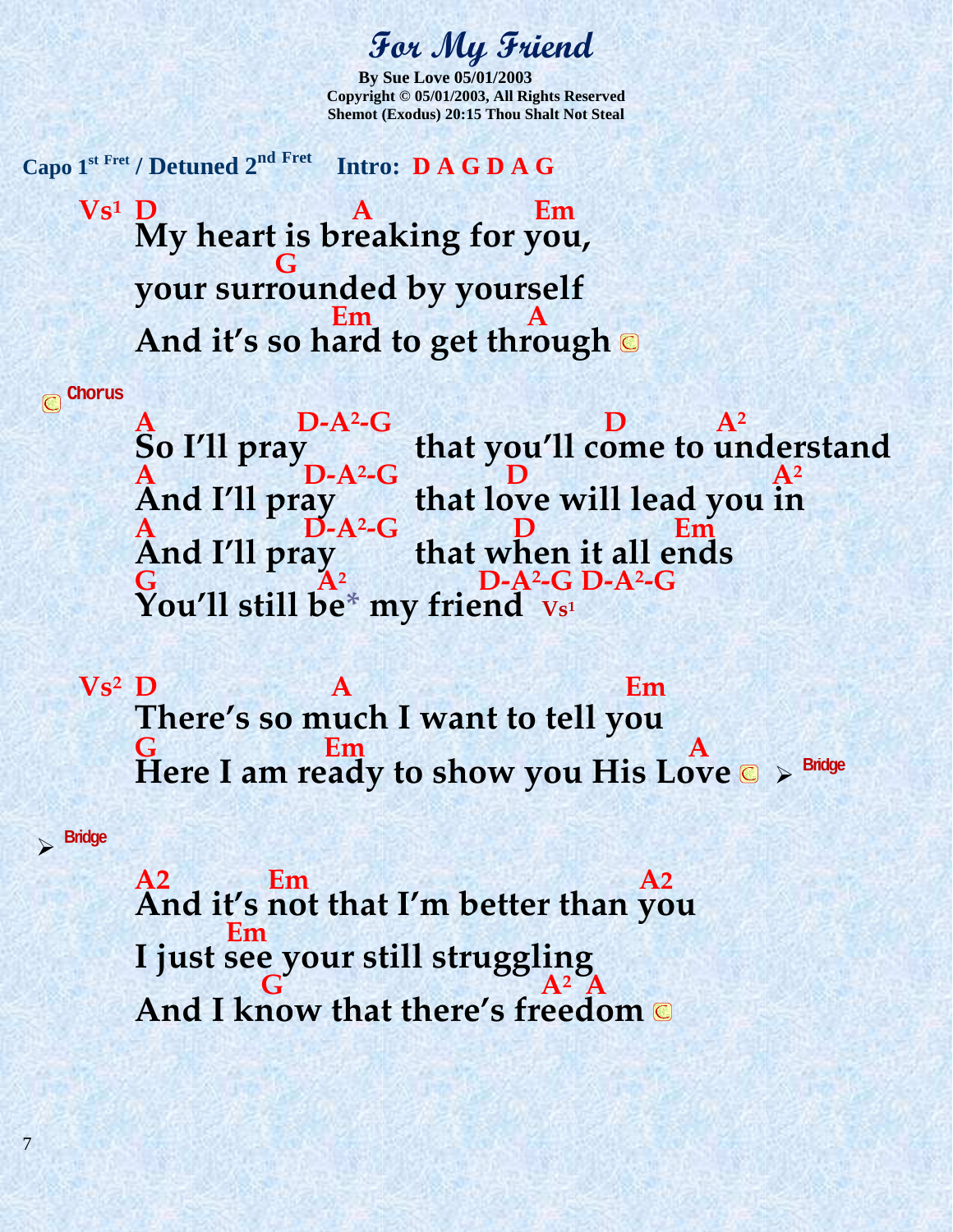#### **For My Friend**

**By Sue Love 05/01/2003 Copyright © 05/01/2003, All Rights Reserved Shemot (Exodus) 20:15 Thou Shalt Not Steal** 

**Capo 1st Fret / Detuned 2nd Fret Intro: D A G D A G**  $Vs<sup>1</sup>$  D **D A A** *C* **Em My heart is breaking for you, G your surrounded by yourself**  *Em* **A And it's so hard to get through** 

**Chorus**  $\overline{\mathbb{C}}$ 

**Bridge** 

7

A D-A<sup>2</sup>-G<br>So I'll pray **-G D A<sup>2</sup> So I'll pray that you'll come to understand A D-A<sup>2</sup>**  $\bullet$  **C**  $\bullet$  **D**  $\bullet$  **A**<sup>2</sup> **And I'll pray that love will lead you in A D-A<sup>2</sup> -G D Em And I'll pray that when it all ends G**  $A^2$   $D-A^2$ **-G D-A<sup>2</sup> -G You'll still be\* my friend Vs<sup>1</sup>**

**Vs2 D A Em There's so much I want to tell you G Em A**  Here I am ready to show you His Love  $\bullet \rightarrow$  Bridge

**A2 Em A2 And it's not that I'm better than you Em I just see your still struggling**   $\mathbf{G} = \mathbf{A}^2 \mathbf{A}$ **And I know that there's freedom**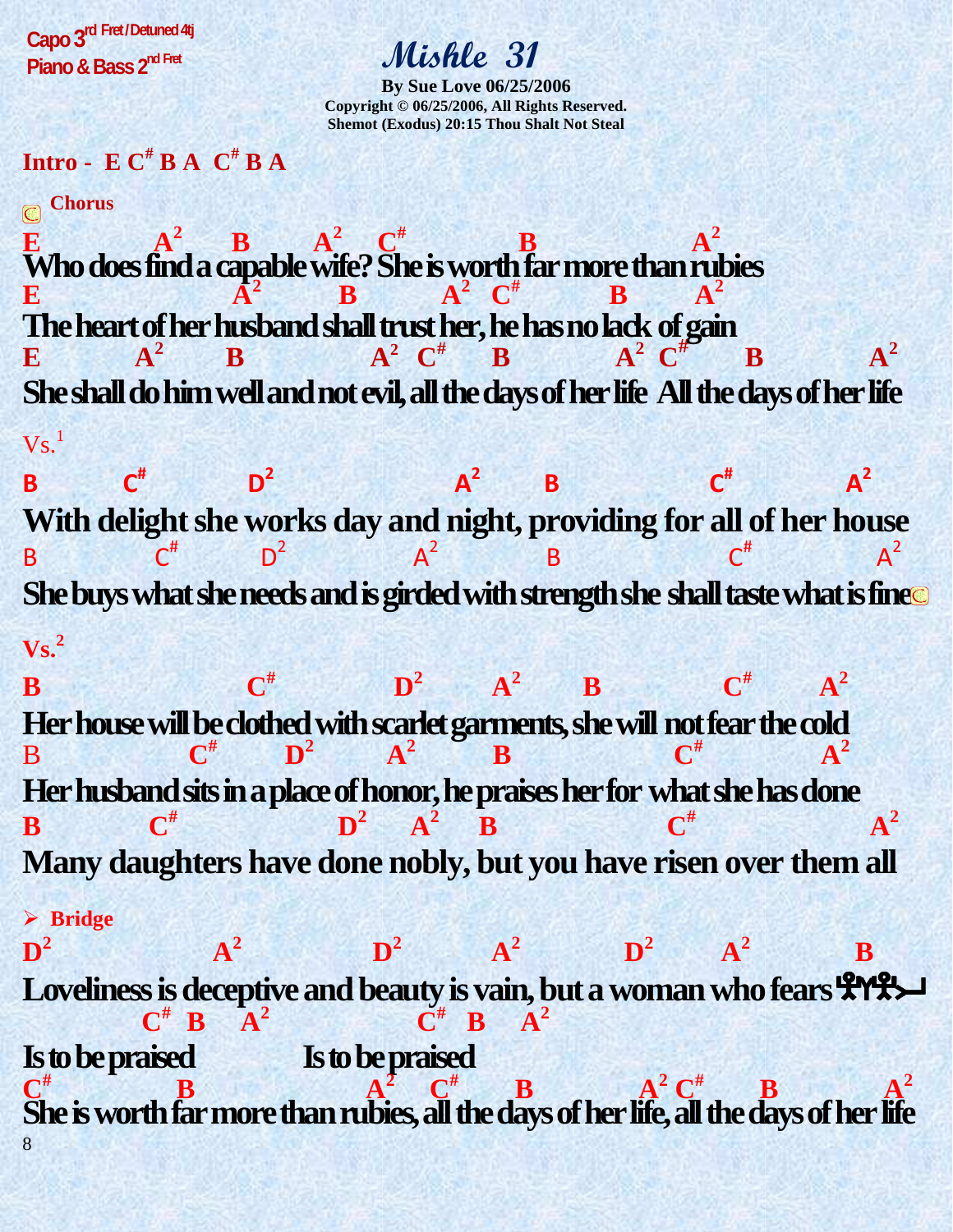**Capo 3 rd Fret/ Detuned 4tj Piano & Bass 2nd Fret** 

#### **Mishle 31**

**By Sue Love 06/25/2006 Copyright © 06/25/2006, All Rights Reserved. Shemot (Exodus) 20:15 Thou Shalt Not Steal** 

**Intro - E**  $\textbf{C}^{\text{\#}}$  **<b>B A**  $\textbf{C}^{\text{\#}}$  **B A** 

**Chorus** 

**E**  $A^2$  **B**  $A^2$   $C^*$  **B**  $A^2$ **Who does find a capable wife? She is worth far more than rubies E**  $A^2$  **B**  $A^2$  **C**<sup>#</sup> **B**  $A^2$ **B**  $A^2$ **The heart of her husband shall trust her, he has no lack of gain E**  $A^2$  **B**  $A^2$  **C**<sup>#</sup> **B**  $A^2$  **C**<sup>#</sup> **B**  $A^2$ **She shall do him well and not evil, all the days of her life All the days of her life**   $\mathbf{V}\mathbf{s}$ .<sup>1</sup>

**B C#**  $\mathbf{D}^2$  $A^2$  **B C# A<sup>2</sup> With delight she works day and night, providing for all of her house**  B  $C^{\#}$   $D^2$   $A^2$   $B$   $C^{\#}$   $A^2$  $D<sup>2</sup>$  $A^2$ **She buys what she needs and is girded with strength she shall taste what is fine Vs.<sup>2</sup>**

**B**  $\mathbf{C}^{\#}$   $\mathbf{D}^2$  **A<sup>2</sup> B C# A 2 Her house will be clothed with scarlet garments, she will not fear the cold**  $\frac{R^{\#}}{4^2}$ B **C**  $\mathbf{D}^2$  **A<sup>2</sup> B** C<sup>#</sup> *A***<sup>2</sup> Her husband sits in a place of honor, he praises her for what she has done B C#**  $\mathbf{D}^2$   $\mathbf{A}^2$  **B A**<sup>2</sup> **Many daughters have done nobly, but you have risen over them all Bridge**   $\mathbf{D}^2$  **A<sup>2</sup>**  $\mathbf{D}^2$ **a**<sup>2</sup> **b**<sup>2</sup> **a**<sup>2</sup>  **B** 

8 **Loveliness is deceptive and beauty is vain, but a woman who fears**  $\mathbf{\mathcal{P}}\mathbf{\mathcal{P}}\mathbf{\mathcal{P}}\mathbf{\mathcal{L}}$  $\mathbf{C}^{\#}$  **B**  $\mathbf{A}^2$   $\mathbf{C}^{\#}$  **B**  $\mathbf{A}^2$ **Is to be praised Is to be praised C**<sup>#</sup>**B B**  $A^2$  **C**<sup>#</sup>**B**  $A^2$  **C**<sup>#</sup>**B**  $A^2$ **#**  $A^2 C^{\#}$ **She is worth far more than rubies, all the days of her life, all the days of her life**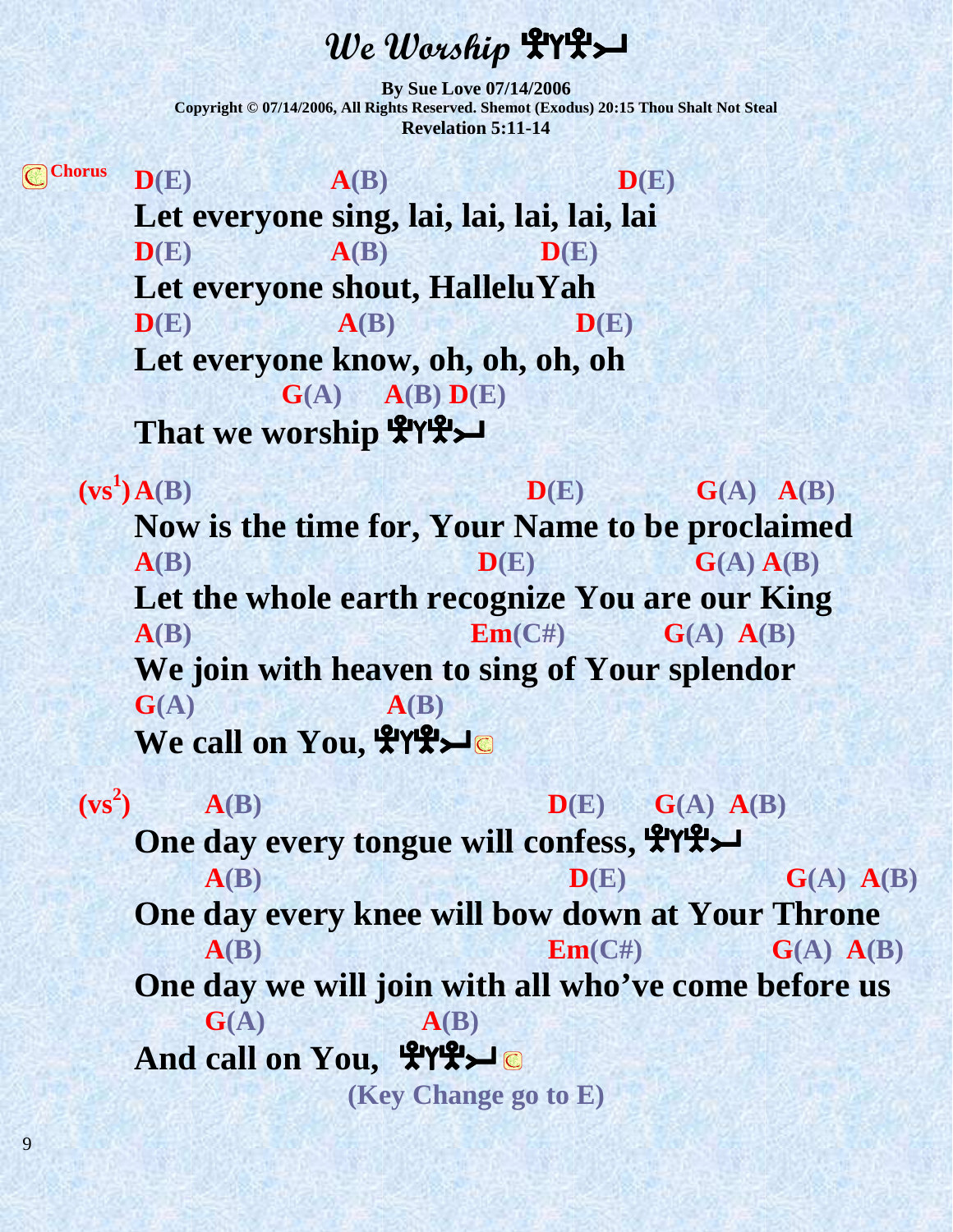#### We Worship **HYH**

**By Sue Love 07/14/2006 Copyright © 07/14/2006, All Rights Reserved. Shemot (Exodus) 20:15 Thou Shalt Not Steal Revelation 5:11-14** 

**Chorus**  $D(E)$   $A(B)$   $D(E)$ Let everyone sing, lai, lai, lai, lai, lai  $\mathbf{D}(E)$   $\mathbf{A}(B)$   $\mathbf{D}(E)$ **Let everyone shout, HalleluYah**  $D(E)$   $A(B)$   $D(E)$ **Let everyone know, oh, oh, oh, oh G(A) A(B) D(E) That we worship Ayes** 

 $(vs^1)A(B)$  $\mathbf{D}(\mathbf{E})$   $\mathbf{G}(\mathbf{A})$   $\mathbf{A}(\mathbf{B})$ **Now is the time for, Your Name to be proclaimed**   $A(B)$  **D**(E) **G**(A)  $A(B)$ **Let the whole earth recognize You are our King**   $A(B)$  **Em**(C#) **G**(A)  $A(B)$ **We join with heaven to sing of Your splendor G(A) A(B) We call on You, ITTLE** 

 $(vs^2)$  $\mathbf{D}(\mathbf{E})$   $\mathbf{G}(\mathbf{A})$   $\mathbf{A}(\mathbf{B})$ **One day every tongue will confess,**  $\mathcal{L}(\mathcal{L})$  $\mathbf{D}(\mathbf{E})$   $\mathbf{G}(\mathbf{A})$   $\mathbf{A}(\mathbf{B})$ **One day every knee will bow down at Your Throne**   $A(B)$  **Em**(C#) **G**(A)  $A(B)$ **One day we will join with all who've come before us G(A)**  $A(B)$ And call on You, TYTY **(Key Change go to E)** 

9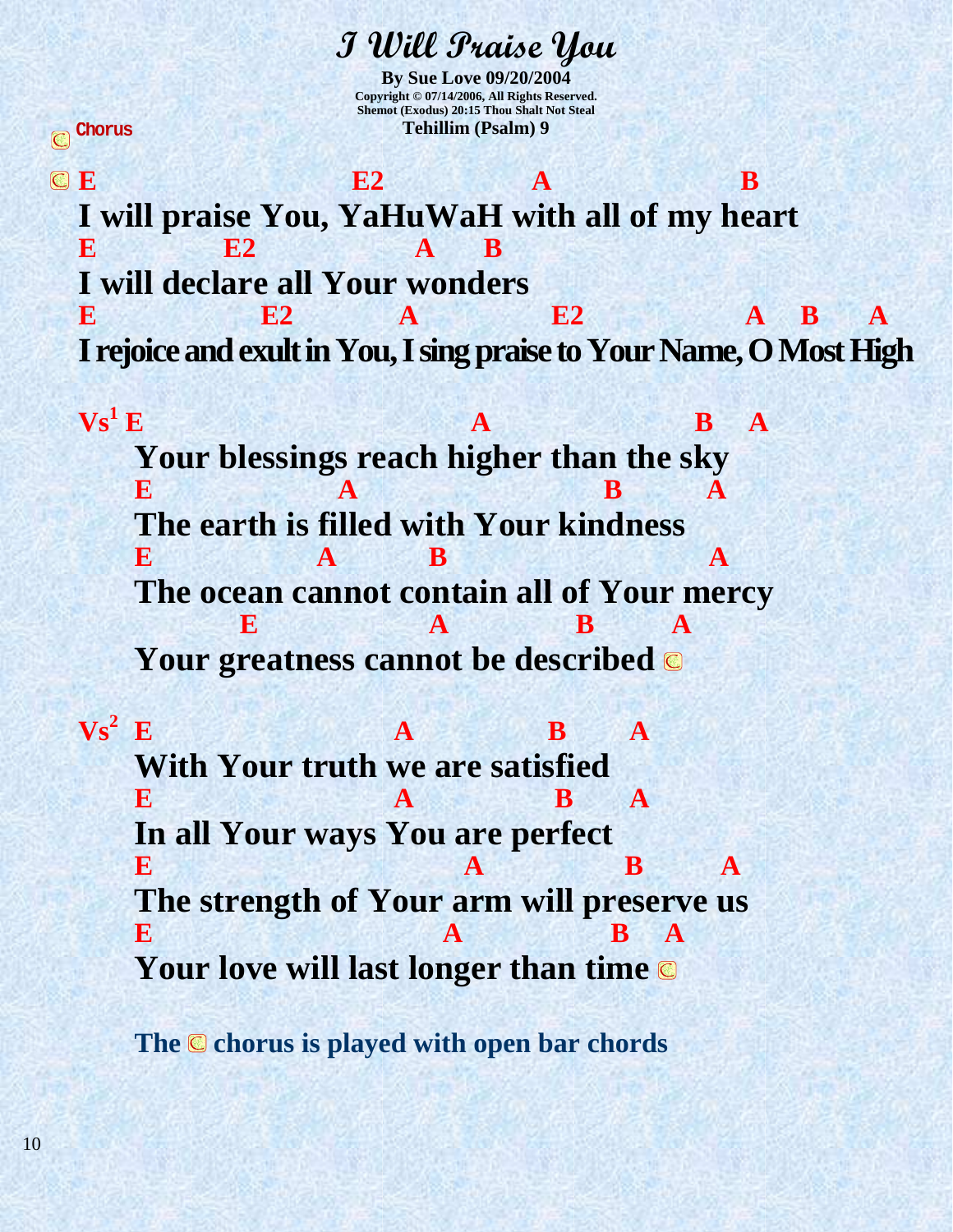**I Will Praise You By Sue Love 09/20/2004 Copyright © 07/14/2006, All Rights Reserved. Shemot (Exodus) 20:15 Thou Shalt Not Steal Tehillim (Psalm) 9** 

**E2 A B I will praise You, YaHuWaH with all of my heart E2 A B I will declare all Your wonders E E2** A **E2** A **A B** A **I rejoice and exult in You, I sing praise to Your Name, O Most High**

 $\mathbf{V}\mathbf{s}^1\mathbf{E}$ **E B** A **Your blessings reach higher than the sky E A B A The earth is filled with Your kindness E A B A A The ocean cannot contain all of Your mercy E A B A Your greatness cannot be described** 

 $\mathbf{Vs}^2$  **E E A B A With Your truth we are satisfied E A B A In all Your ways You are perfect E A** B **A The strength of Your arm will preserve us E A B A Your love will last longer than time** 

**The C** chorus is played with open bar chords

**Chorus**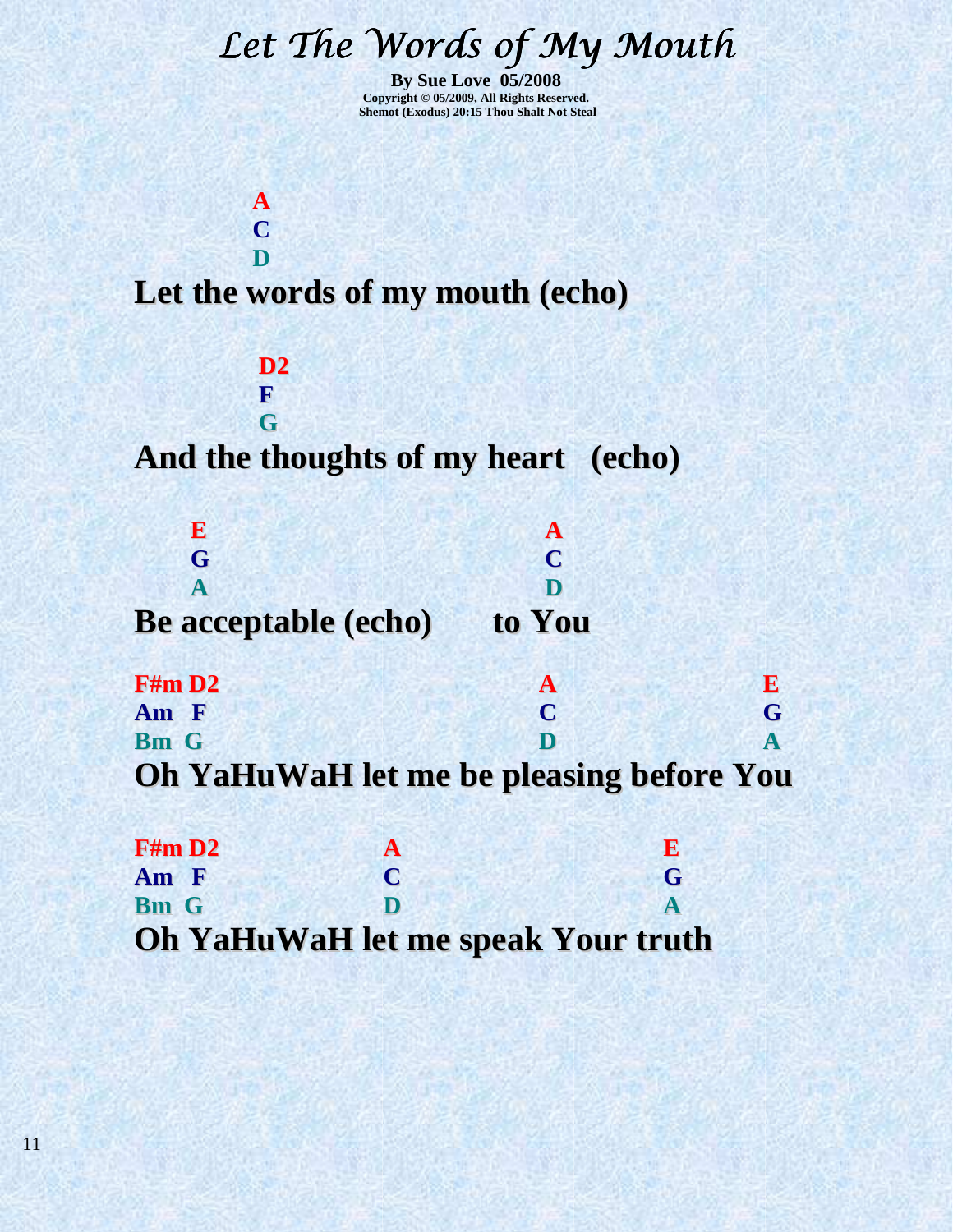# Let The Words of My Mouth

**By Sue Love 05/2008 Copyright © 05/2009, All Rights Reserved. Shemot (Exodus) 20:15 Thou Shalt Not Steal** 

**Let the words of my mouth (echo)**

 **A C D** 

> **D2 F**

**G And the thoughts of my heart (echo)**

| G                    | $\mathbf{\Gamma}$ |  |
|----------------------|-------------------|--|
|                      |                   |  |
| Be acceptable (echo) | to You            |  |

| F#m D2      |                                                 | K. |
|-------------|-------------------------------------------------|----|
| Am F        | $\Gamma$                                        | G  |
| <b>Bm</b> G | D                                               |    |
|             | <b>Oh YaHuWaH let me be pleasing before You</b> |    |

| F#m D2      | A           | E                                         |
|-------------|-------------|-------------------------------------------|
| Am F        | $\mathbf C$ | G                                         |
| <b>Bm</b> G | D           |                                           |
|             |             | <b>Oh YaHuWaH let me speak Your truth</b> |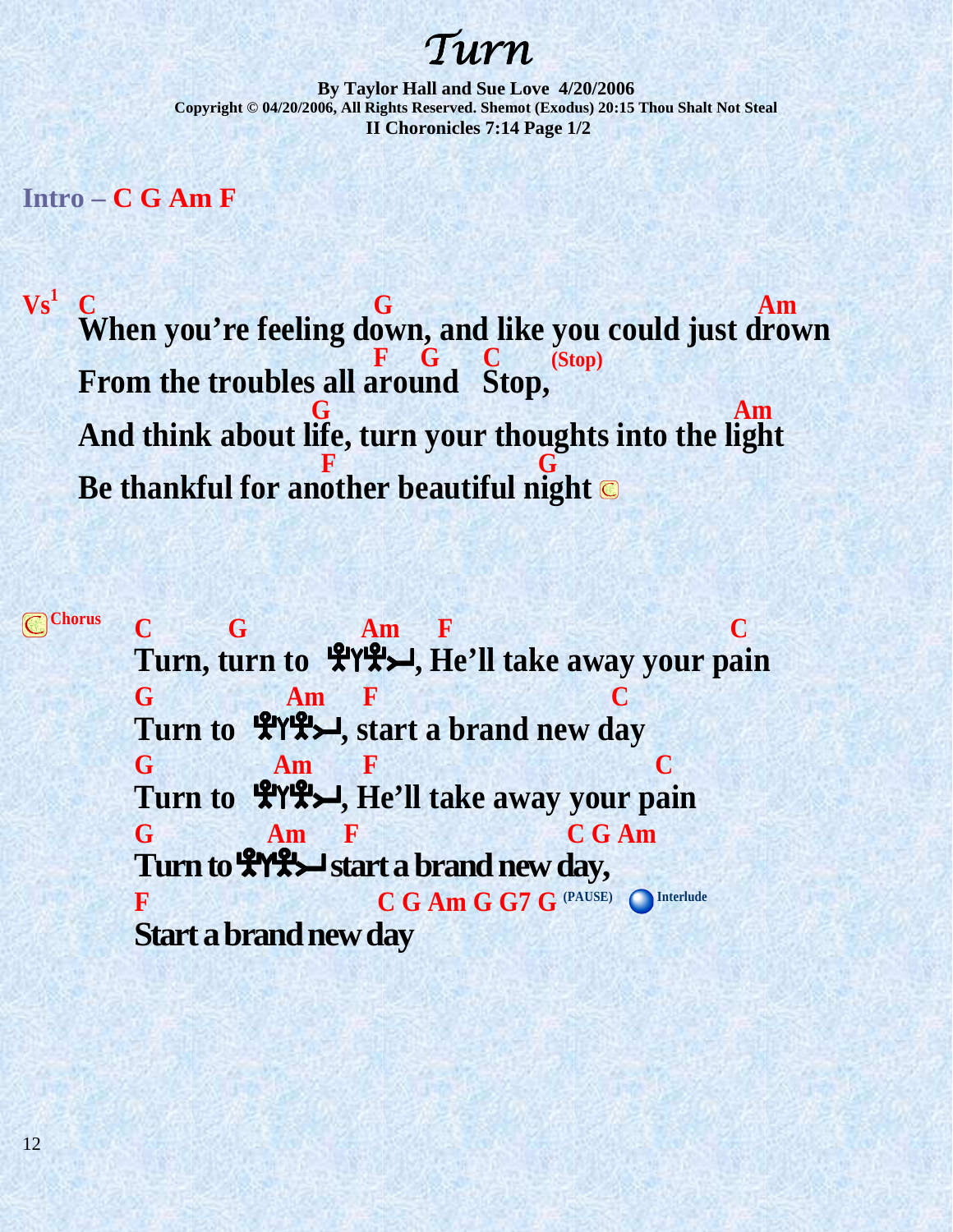Turn

**By Taylor Hall and Sue Love 4/20/2006 Copyright © 04/20/2006, All Rights Reserved. Shemot (Exodus) 20:15 Thou Shalt Not Steal II Choronicles 7:14 Page 1/2** 

**Intro – C G Am F**

 $\mathbf{V}\mathbf{s}^1$ 

 **C G Am When you're feeling down, and like you could just drown F G C (Stop) From the troubles all around Stop, G G G Am And think about life, turn your thoughts into the light F**  $\cdot$  **F**  $\cdot$  **G Be thankful for another beautiful night** 

**Chorus C G Am F C Turn, turn to <sup>L</sup>LYLEX, He'll take away your pain G Am F C** Turn to  $\mathcal{L}$  **A**<sup>Y</sup>**P**, start a brand new day **G** Am **F** C Turn to  $\mathcal{L}$ YL<sup>2</sup>, He'll take away your pain **G Am F C G Am**  Turn to  $\mathcal{H} \mathcal{H}$  start a brand new day, **F** C G Am G G7 G <sup>(PAUSE)</sup> Interlude **Start a brand new day**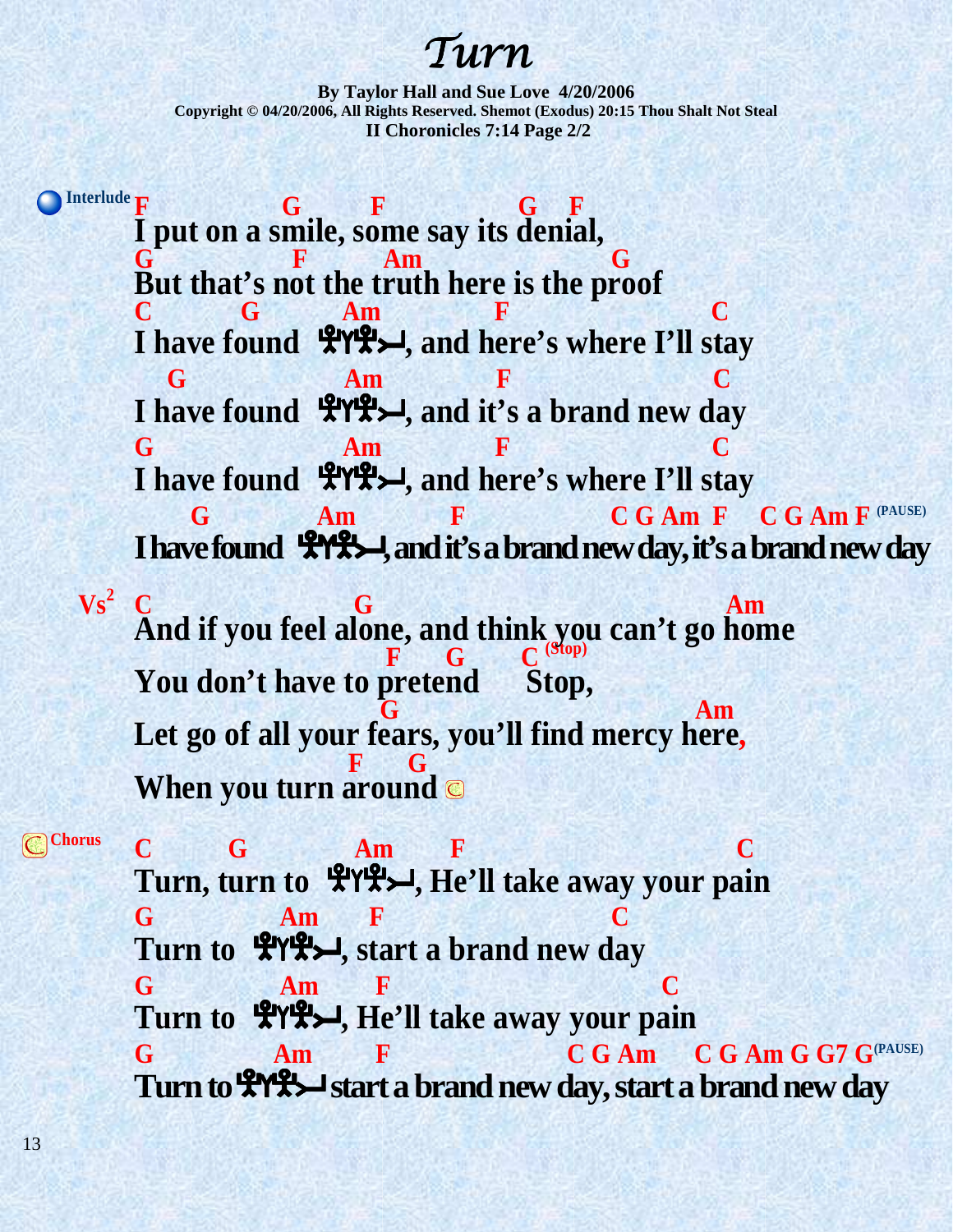# Turn

**By Taylor Hall and Sue Love 4/20/2006 Copyright © 04/20/2006, All Rights Reserved. Shemot (Exodus) 20:15 Thou Shalt Not Steal II Choronicles 7:14 Page 2/2** 

Interlude **F** G F G F **I put on a smile, some say its denial, G F Am G But that's not the truth here is the proof C G Am F C**  I have found  $\mathcal{L}Y\mathcal{L}$ , and here's where I'll stay **G** Am **F** C I have found  $\mathcal{L}^{\text{IV}}\mathcal{L}$ , and it's a brand new day **G Am F C** I have found  $\mathcal{L}Y\mathcal{L}$ , and here's where I'll stay **G** Am F C G Am F C G Am F <sup>(PAUSE)</sup> **I have found**  $\mathcal{L}(\mathcal{H}, \mathcal{L})$ **, and it's a brand new day, it's a brand new day**  $\mathbf{V}\mathbf{s}^2$ **C G** Am **And if you feel alone, and think you can't go home E G C**  $^{(Stop)}$ You don't have to pretend Stop,  $\mathbf{G}$  **G** and  $\mathbf{A}\mathbf{m}$ **Let go of all your fears, you'll find mercy here, F G When you turn around** 

**Chorus C G Am F C Turn, turn to <sup>L</sup>LYLEX, He'll take away your pain G Am F C Turn to <sup>L</sup>ITLERT Start a brand new day G Am F C** Turn to  $\mathcal{L}$ YL<sup>2</sup>, He'll take away your pain **G Am F C G Am C G Am G G7 G(PAUSE) Turn to**  $\mathbb{R}$  $\mathbb{R}$  start a brand new day, start a brand new day